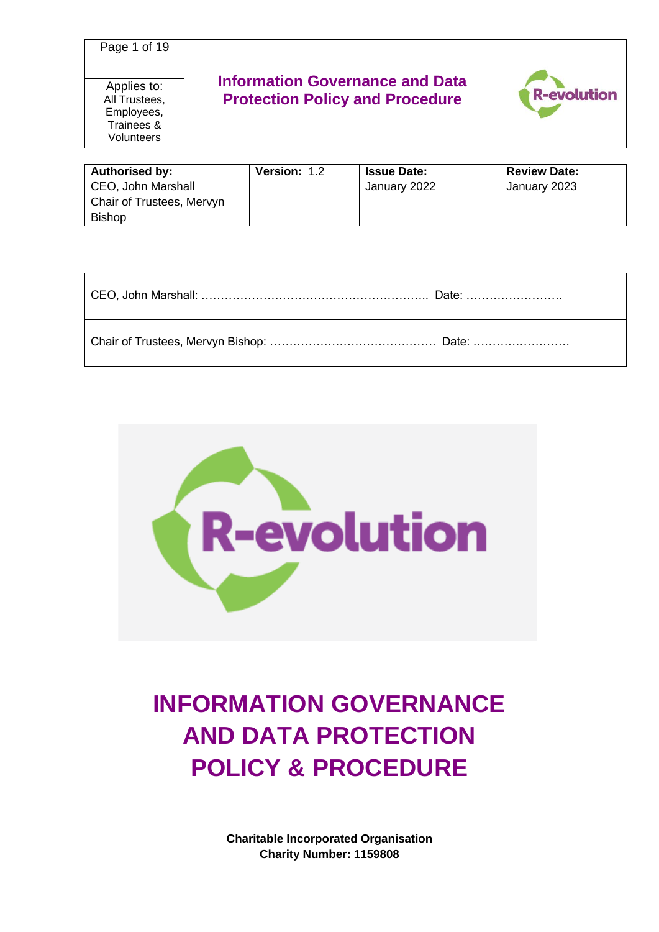| Page 1 of 19                                                           |                                                                                  |                    |
|------------------------------------------------------------------------|----------------------------------------------------------------------------------|--------------------|
| Applies to:<br>All Trustees,<br>Employees,<br>Trainees &<br>Volunteers | <b>Information Governance and Data</b><br><b>Protection Policy and Procedure</b> | <b>R-evolution</b> |

| Authorised by:            | Version: 1.2 | <b>Issue Date:</b> | <b>Review Date:</b> |
|---------------------------|--------------|--------------------|---------------------|
| CEO, John Marshall        |              | January 2022       | January 2023        |
| Chair of Trustees, Mervyn |              |                    |                     |
| <b>Bishop</b>             |              |                    |                     |

| CEO, John Marshall: ……………………………………………………… Date: ……………………            |  |
|---------------------------------------------------------------------|--|
| Chair of Trustees, Mervyn Bishop: …………………………………………… Date: ……………………… |  |



# **INFORMATION GOVERNANCE AND DATA PROTECTION POLICY & PROCEDURE**

**Charitable Incorporated Organisation Charity Number: 1159808**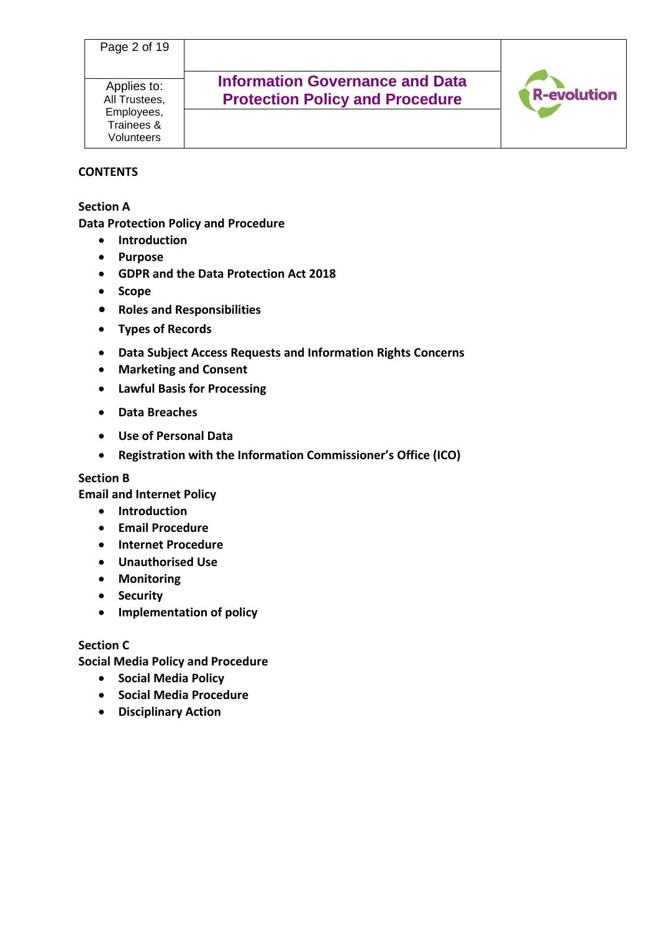Applies to: All Trustees, Employees, Trainees & Volunteers

## **Information Governance and Data Protection Policy and Procedure**



#### **CONTENTS**

**Section A**

**Data Protection Policy and Procedure**

- **Introduction**
- **Purpose**
- **GDPR and the Data Protection Act 2018**
- **Scope**
- **Roles and Responsibilities**
- **Types of Records**
- **Data Subject Access Requests and Information Rights Concerns**
- **Marketing and Consent**
- **Lawful Basis for Processing**
- **Data Breaches**
- **Use of Personal Data**
- **Registration with the Information Commissioner's Office (ICO)**

#### **Section B**

**Email and Internet Policy**

- **Introduction**
- **Email Procedure**
- **Internet Procedure**
- **Unauthorised Use**
- **Monitoring**
- **Security**
- **Implementation of policy**

#### **Section C**

**Social Media Policy and Procedure**

- **Social Media Policy**
- **Social Media Procedure**
- **Disciplinary Action**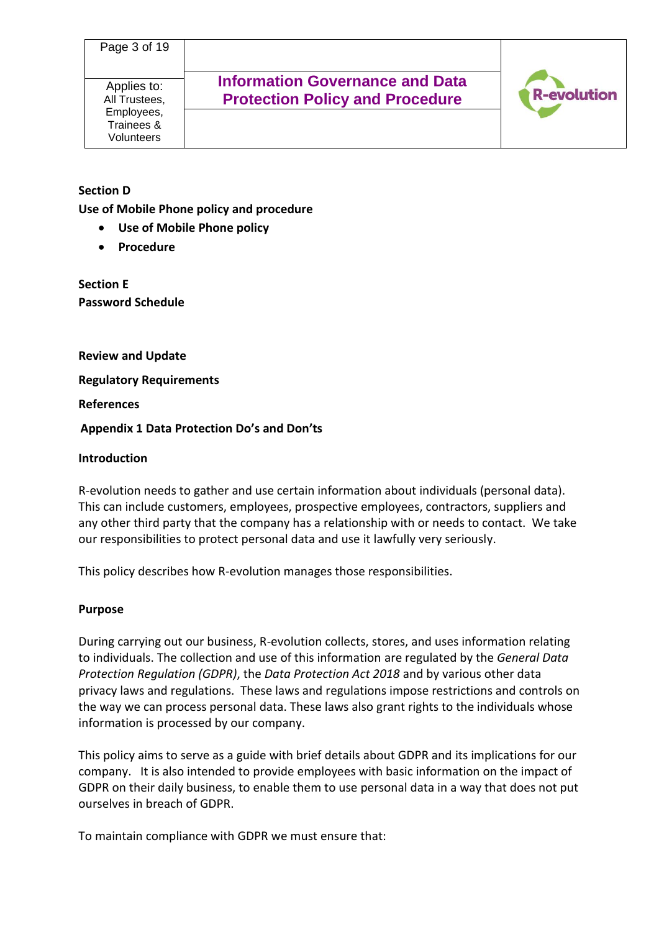Applies to: All Trustees, Employees, Trainees & Volunteers

**Information Governance and Data Protection Policy and Procedure**



## **Section D**

**Use of Mobile Phone policy and procedure**

- **Use of Mobile Phone policy**
- **Procedure**

#### **Section E Password Schedule**

**Review and Update**

**Regulatory Requirements**

**References**

#### **Appendix 1 Data Protection Do's and Don'ts**

#### **Introduction**

R-evolution needs to gather and use certain information about individuals (personal data). This can include customers, employees, prospective employees, contractors, suppliers and any other third party that the company has a relationship with or needs to contact. We take our responsibilities to protect personal data and use it lawfully very seriously.

This policy describes how R-evolution manages those responsibilities.

#### **Purpose**

During carrying out our business, R-evolution collects, stores, and uses information relating to individuals. The collection and use of this information are regulated by the *General Data Protection Regulation (GDPR)*, the *Data Protection Act 2018* and by various other data privacy laws and regulations. These laws and regulations impose restrictions and controls on the way we can process personal data. These laws also grant rights to the individuals whose information is processed by our company.

This policy aims to serve as a guide with brief details about GDPR and its implications for our company. It is also intended to provide employees with basic information on the impact of GDPR on their daily business, to enable them to use personal data in a way that does not put ourselves in breach of GDPR.

To maintain compliance with GDPR we must ensure that: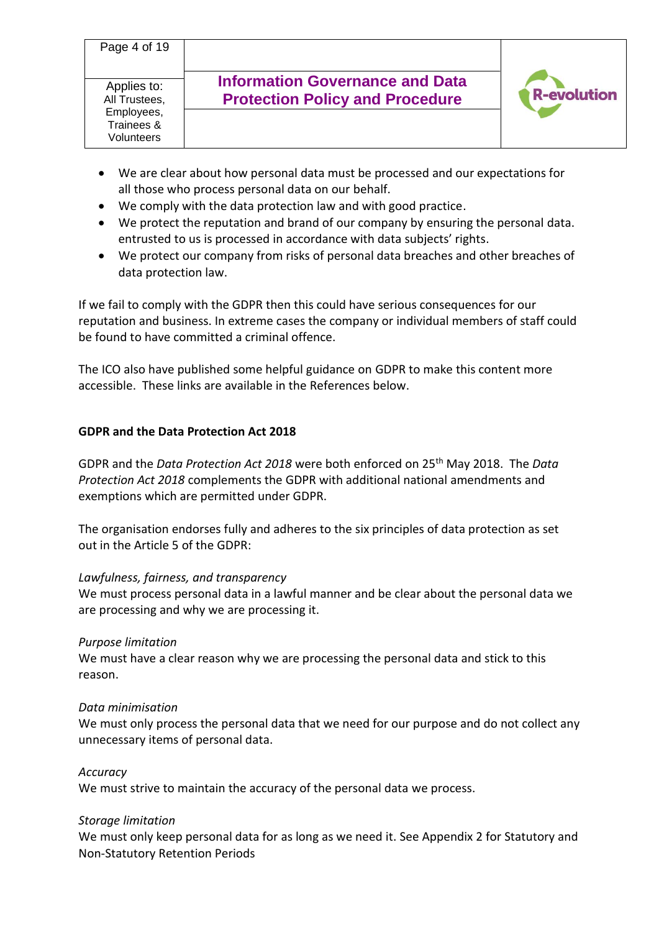- We are clear about how personal data must be processed and our expectations for all those who process personal data on our behalf.
- We comply with the data protection law and with good practice.
- We protect the reputation and brand of our company by ensuring the personal data. entrusted to us is processed in accordance with data subjects' rights.
- We protect our company from risks of personal data breaches and other breaches of data protection law.

If we fail to comply with the GDPR then this could have serious consequences for our reputation and business. In extreme cases the company or individual members of staff could be found to have committed a criminal offence.

The ICO also have published some helpful guidance on GDPR to make this content more accessible. These links are available in the References below.

## **GDPR and the Data Protection Act 2018**

GDPR and the *Data Protection Act 2018* were both enforced on 25th May 2018. The *Data Protection Act 2018* complements the GDPR with additional national amendments and exemptions which are permitted under GDPR.

The organisation endorses fully and adheres to the six principles of data protection as set out in the Article 5 of the GDPR:

## *Lawfulness, fairness, and transparency*

We must process personal data in a lawful manner and be clear about the personal data we are processing and why we are processing it.

## *Purpose limitation*

We must have a clear reason why we are processing the personal data and stick to this reason.

#### *Data minimisation*

We must only process the personal data that we need for our purpose and do not collect any unnecessary items of personal data.

#### *Accuracy*

We must strive to maintain the accuracy of the personal data we process.

## *Storage limitation*

We must only keep personal data for as long as we need it. See Appendix 2 for Statutory and Non-Statutory Retention Periods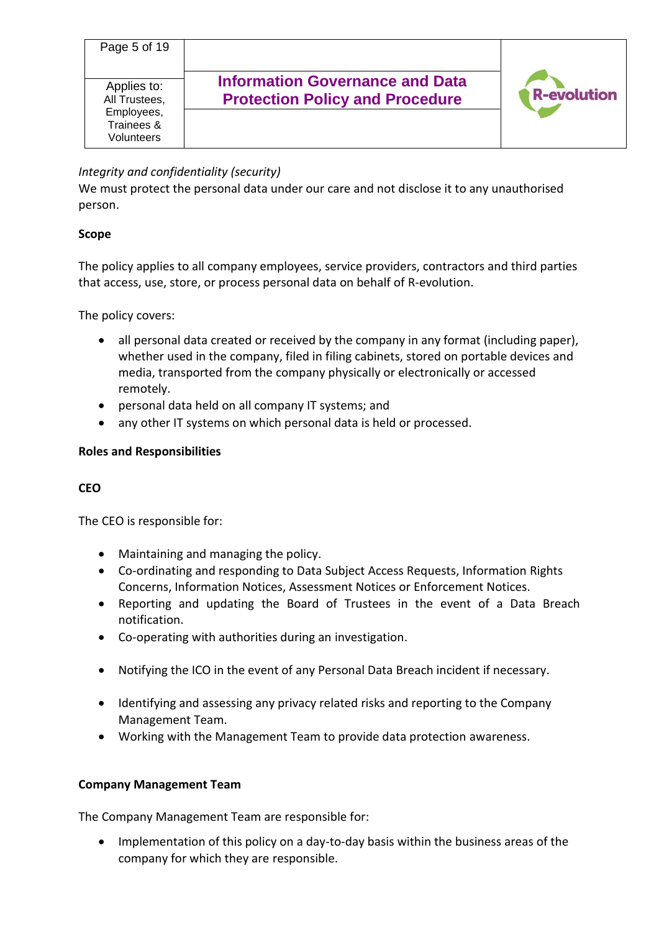

## *Integrity and confidentiality (security)*

We must protect the personal data under our care and not disclose it to any unauthorised person.

## **Scope**

The policy applies to all company employees, service providers, contractors and third parties that access, use, store, or process personal data on behalf of R-evolution.

The policy covers:

- all personal data created or received by the company in any format (including paper), whether used in the company, filed in filing cabinets, stored on portable devices and media, transported from the company physically or electronically or accessed remotely.
- personal data held on all company IT systems; and
- any other IT systems on which personal data is held or processed.

## **Roles and Responsibilities**

## **CEO**

The CEO is responsible for:

- Maintaining and managing the policy.
- Co-ordinating and responding to Data Subject Access Requests, Information Rights Concerns, Information Notices, Assessment Notices or Enforcement Notices.
- Reporting and updating the Board of Trustees in the event of a Data Breach notification.
- Co-operating with authorities during an investigation.
- Notifying the ICO in the event of any Personal Data Breach incident if necessary.
- Identifying and assessing any privacy related risks and reporting to the Company Management Team.
- Working with the Management Team to provide data protection awareness.

## **Company Management Team**

The Company Management Team are responsible for:

• Implementation of this policy on a day-to-day basis within the business areas of the company for which they are responsible.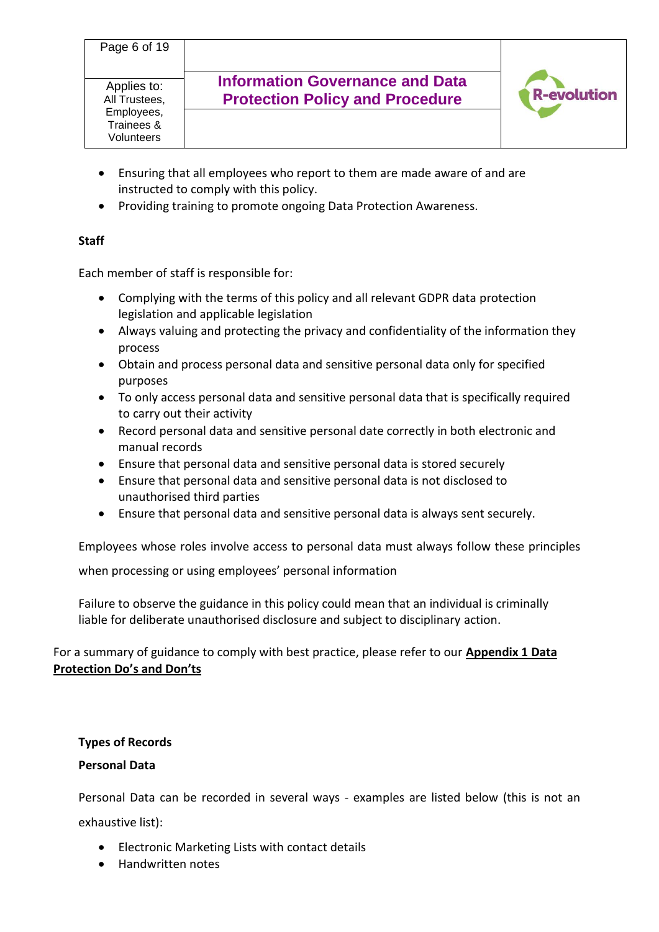- Ensuring that all employees who report to them are made aware of and are instructed to comply with this policy.
- Providing training to promote ongoing Data Protection Awareness.

## **Staff**

Each member of staff is responsible for:

- Complying with the terms of this policy and all relevant GDPR data protection legislation and applicable legislation
- Always valuing and protecting the privacy and confidentiality of the information they process
- Obtain and process personal data and sensitive personal data only for specified purposes
- To only access personal data and sensitive personal data that is specifically required to carry out their activity
- Record personal data and sensitive personal date correctly in both electronic and manual records
- Ensure that personal data and sensitive personal data is stored securely
- Ensure that personal data and sensitive personal data is not disclosed to unauthorised third parties
- Ensure that personal data and sensitive personal data is always sent securely.

Employees whose roles involve access to personal data must always follow these principles

when processing or using employees' personal information

Failure to observe the guidance in this policy could mean that an individual is criminally liable for deliberate unauthorised disclosure and subject to disciplinary action.

For a summary of guidance to comply with best practice, please refer to our **Appendix 1 Data Protection Do's and Don'ts** 

## **Types of Records**

#### **Personal Data**

Personal Data can be recorded in several ways - examples are listed below (this is not an exhaustive list):

- Electronic Marketing Lists with contact details
- Handwritten notes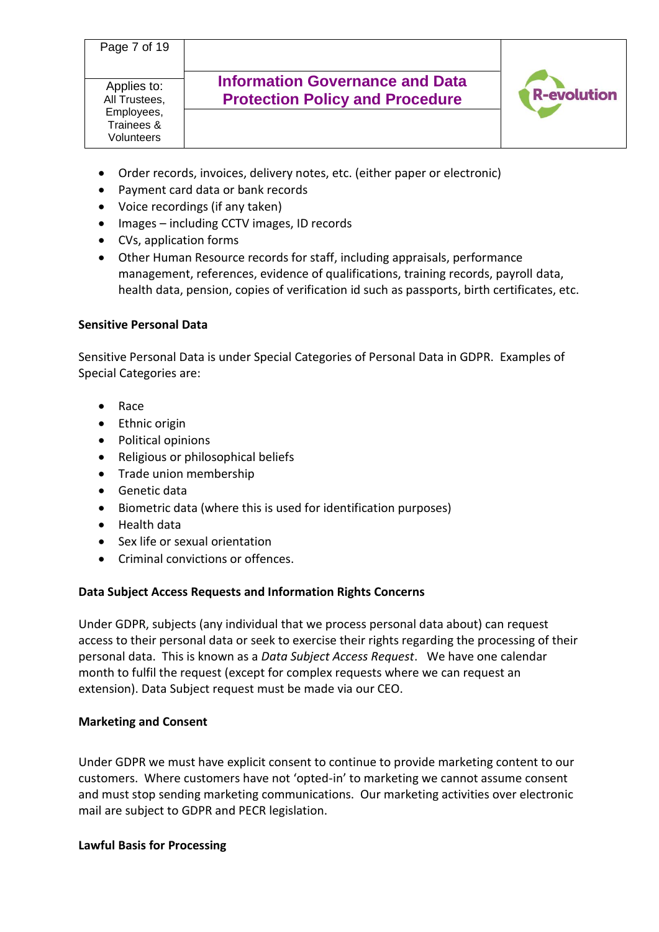- Order records, invoices, delivery notes, etc. (either paper or electronic)
- Payment card data or bank records
- Voice recordings (if any taken)
- Images including CCTV images, ID records
- CVs, application forms
- Other Human Resource records for staff, including appraisals, performance management, references, evidence of qualifications, training records, payroll data, health data, pension, copies of verification id such as passports, birth certificates, etc.

## **Sensitive Personal Data**

Sensitive Personal Data is under Special Categories of Personal Data in GDPR. Examples of Special Categories are:

- Race
- Ethnic origin
- Political opinions
- Religious or philosophical beliefs
- Trade union membership
- Genetic data
- Biometric data (where this is used for identification purposes)
- Health data
- Sex life or sexual orientation
- Criminal convictions or offences.

## **Data Subject Access Requests and Information Rights Concerns**

Under GDPR, subjects (any individual that we process personal data about) can request access to their personal data or seek to exercise their rights regarding the processing of their personal data. This is known as a *Data Subject Access Request*. We have one calendar month to fulfil the request (except for complex requests where we can request an extension). Data Subject request must be made via our CEO.

## **Marketing and Consent**

Under GDPR we must have explicit consent to continue to provide marketing content to our customers. Where customers have not 'opted-in' to marketing we cannot assume consent and must stop sending marketing communications. Our marketing activities over electronic mail are subject to GDPR and PECR legislation.

## **Lawful Basis for Processing**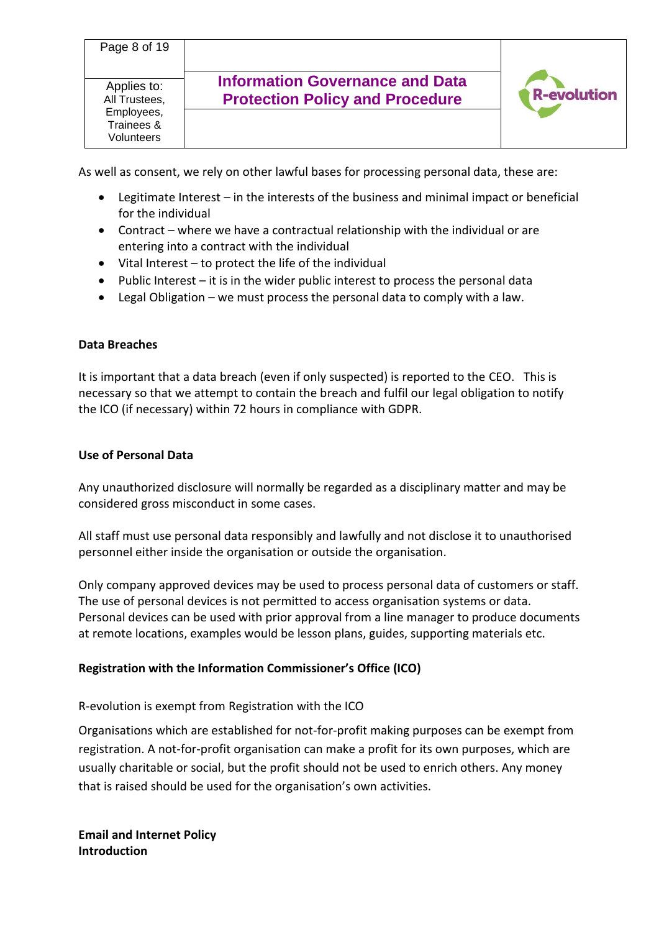As well as consent, we rely on other lawful bases for processing personal data, these are:

- Legitimate Interest in the interests of the business and minimal impact or beneficial for the individual
- Contract where we have a contractual relationship with the individual or are entering into a contract with the individual
- Vital Interest to protect the life of the individual
- Public Interest it is in the wider public interest to process the personal data
- Legal Obligation we must process the personal data to comply with a law.

## **Data Breaches**

It is important that a data breach (even if only suspected) is reported to the CEO. This is necessary so that we attempt to contain the breach and fulfil our legal obligation to notify the ICO (if necessary) within 72 hours in compliance with GDPR.

#### **Use of Personal Data**

Any unauthorized disclosure will normally be regarded as a disciplinary matter and may be considered gross misconduct in some cases.

All staff must use personal data responsibly and lawfully and not disclose it to unauthorised personnel either inside the organisation or outside the organisation.

Only company approved devices may be used to process personal data of customers or staff. The use of personal devices is not permitted to access organisation systems or data. Personal devices can be used with prior approval from a line manager to produce documents at remote locations, examples would be lesson plans, guides, supporting materials etc.

## **Registration with the Information Commissioner's Office (ICO)**

R-evolution is exempt from Registration with the ICO

Organisations which are established for not-for-profit making purposes can be exempt from registration. A not-for-profit organisation can make a profit for its own purposes, which are usually charitable or social, but the profit should not be used to enrich others. Any money that is raised should be used for the organisation's own activities.

**Email and Internet Policy Introduction**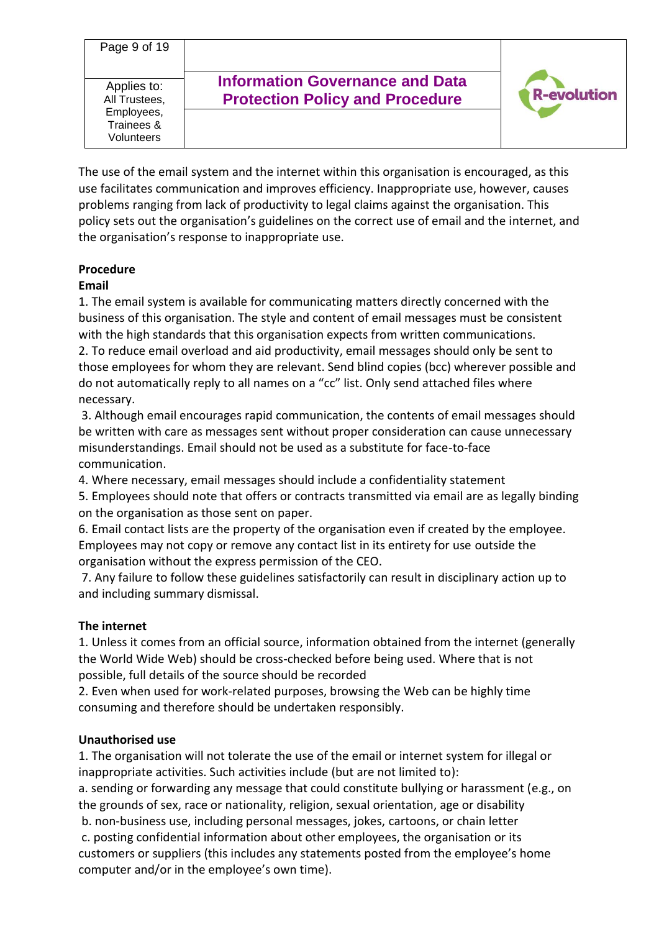Page 9 of 19 **Information Governance and Data**  Applies to: evolution **Protection Policy and Procedure** All Trustees, Employees, Trainees & Volunteers

The use of the email system and the internet within this organisation is encouraged, as this use facilitates communication and improves efficiency. Inappropriate use, however, causes problems ranging from lack of productivity to legal claims against the organisation. This policy sets out the organisation's guidelines on the correct use of email and the internet, and the organisation's response to inappropriate use.

# **Procedure**

## **Email**

1. The email system is available for communicating matters directly concerned with the business of this organisation. The style and content of email messages must be consistent with the high standards that this organisation expects from written communications. 2. To reduce email overload and aid productivity, email messages should only be sent to those employees for whom they are relevant. Send blind copies (bcc) wherever possible and do not automatically reply to all names on a "cc" list. Only send attached files where

necessary.

3. Although email encourages rapid communication, the contents of email messages should be written with care as messages sent without proper consideration can cause unnecessary misunderstandings. Email should not be used as a substitute for face-to-face communication.

4. Where necessary, email messages should include a confidentiality statement

5. Employees should note that offers or contracts transmitted via email are as legally binding on the organisation as those sent on paper.

6. Email contact lists are the property of the organisation even if created by the employee. Employees may not copy or remove any contact list in its entirety for use outside the organisation without the express permission of the CEO.

7. Any failure to follow these guidelines satisfactorily can result in disciplinary action up to and including summary dismissal.

## **The internet**

1. Unless it comes from an official source, information obtained from the internet (generally the World Wide Web) should be cross-checked before being used. Where that is not possible, full details of the source should be recorded

2. Even when used for work-related purposes, browsing the Web can be highly time consuming and therefore should be undertaken responsibly.

## **Unauthorised use**

1. The organisation will not tolerate the use of the email or internet system for illegal or inappropriate activities. Such activities include (but are not limited to):

a. sending or forwarding any message that could constitute bullying or harassment (e.g., on the grounds of sex, race or nationality, religion, sexual orientation, age or disability

b. non-business use, including personal messages, jokes, cartoons, or chain letter c. posting confidential information about other employees, the organisation or its customers or suppliers (this includes any statements posted from the employee's home computer and/or in the employee's own time).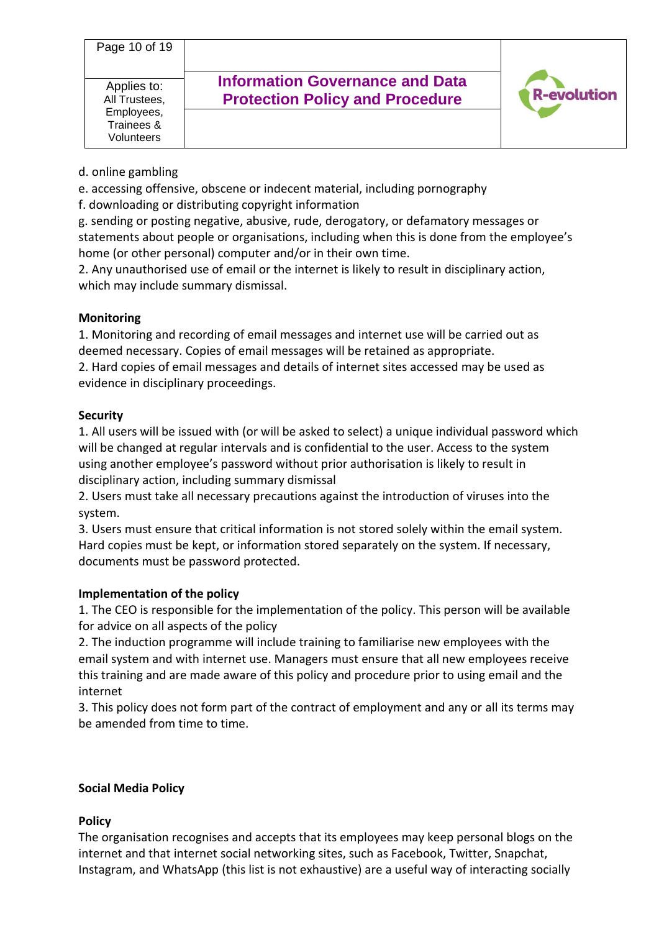| Page 10 of 19                                                                 |                                                                                  |                    |
|-------------------------------------------------------------------------------|----------------------------------------------------------------------------------|--------------------|
| Applies to:<br>All Trustees,<br>Employees,<br>Trainees &<br><b>Volunteers</b> | <b>Information Governance and Data</b><br><b>Protection Policy and Procedure</b> | <b>R-evolution</b> |

d. online gambling

e. accessing offensive, obscene or indecent material, including pornography

f. downloading or distributing copyright information

g. sending or posting negative, abusive, rude, derogatory, or defamatory messages or statements about people or organisations, including when this is done from the employee's home (or other personal) computer and/or in their own time.

2. Any unauthorised use of email or the internet is likely to result in disciplinary action, which may include summary dismissal.

## **Monitoring**

1. Monitoring and recording of email messages and internet use will be carried out as deemed necessary. Copies of email messages will be retained as appropriate. 2. Hard copies of email messages and details of internet sites accessed may be used as evidence in disciplinary proceedings.

#### **Security**

1. All users will be issued with (or will be asked to select) a unique individual password which will be changed at regular intervals and is confidential to the user. Access to the system using another employee's password without prior authorisation is likely to result in disciplinary action, including summary dismissal

2. Users must take all necessary precautions against the introduction of viruses into the system.

3. Users must ensure that critical information is not stored solely within the email system. Hard copies must be kept, or information stored separately on the system. If necessary, documents must be password protected.

## **Implementation of the policy**

1. The CEO is responsible for the implementation of the policy. This person will be available for advice on all aspects of the policy

2. The induction programme will include training to familiarise new employees with the email system and with internet use. Managers must ensure that all new employees receive this training and are made aware of this policy and procedure prior to using email and the internet

3. This policy does not form part of the contract of employment and any or all its terms may be amended from time to time.

#### **Social Media Policy**

## **Policy**

The organisation recognises and accepts that its employees may keep personal blogs on the internet and that internet social networking sites, such as Facebook, Twitter, Snapchat, Instagram, and WhatsApp (this list is not exhaustive) are a useful way of interacting socially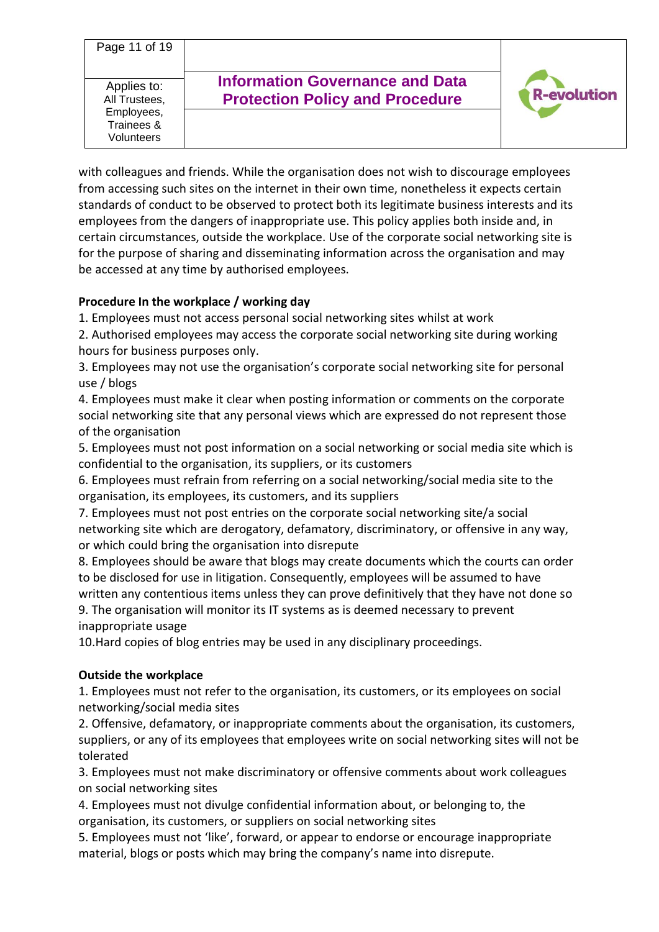Page 11 of 19 **Information Governance and Data**  Applies to: evolution **Protection Policy and Procedure** All Trustees, Employees, Trainees & Volunteers

with colleagues and friends. While the organisation does not wish to discourage employees from accessing such sites on the internet in their own time, nonetheless it expects certain standards of conduct to be observed to protect both its legitimate business interests and its employees from the dangers of inappropriate use. This policy applies both inside and, in certain circumstances, outside the workplace. Use of the corporate social networking site is for the purpose of sharing and disseminating information across the organisation and may be accessed at any time by authorised employees.

## **Procedure In the workplace / working day**

1. Employees must not access personal social networking sites whilst at work

2. Authorised employees may access the corporate social networking site during working hours for business purposes only.

3. Employees may not use the organisation's corporate social networking site for personal use / blogs

4. Employees must make it clear when posting information or comments on the corporate social networking site that any personal views which are expressed do not represent those of the organisation

5. Employees must not post information on a social networking or social media site which is confidential to the organisation, its suppliers, or its customers

6. Employees must refrain from referring on a social networking/social media site to the organisation, its employees, its customers, and its suppliers

7. Employees must not post entries on the corporate social networking site/a social networking site which are derogatory, defamatory, discriminatory, or offensive in any way, or which could bring the organisation into disrepute

8. Employees should be aware that blogs may create documents which the courts can order to be disclosed for use in litigation. Consequently, employees will be assumed to have written any contentious items unless they can prove definitively that they have not done so

9. The organisation will monitor its IT systems as is deemed necessary to prevent inappropriate usage

10.Hard copies of blog entries may be used in any disciplinary proceedings.

## **Outside the workplace**

1. Employees must not refer to the organisation, its customers, or its employees on social networking/social media sites

2. Offensive, defamatory, or inappropriate comments about the organisation, its customers, suppliers, or any of its employees that employees write on social networking sites will not be tolerated

3. Employees must not make discriminatory or offensive comments about work colleagues on social networking sites

4. Employees must not divulge confidential information about, or belonging to, the organisation, its customers, or suppliers on social networking sites

5. Employees must not 'like', forward, or appear to endorse or encourage inappropriate material, blogs or posts which may bring the company's name into disrepute.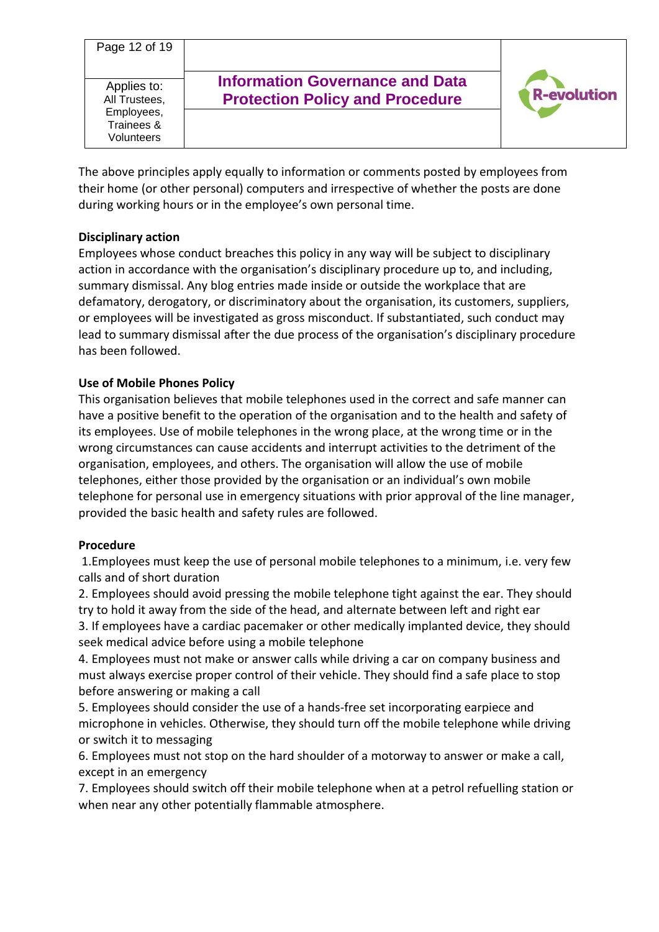| Page 12 of 19                                                          |                                                                                  |                    |
|------------------------------------------------------------------------|----------------------------------------------------------------------------------|--------------------|
| Applies to:<br>All Trustees,<br>Employees,<br>Trainees &<br>Volunteers | <b>Information Governance and Data</b><br><b>Protection Policy and Procedure</b> | <b>R-evolution</b> |

The above principles apply equally to information or comments posted by employees from their home (or other personal) computers and irrespective of whether the posts are done during working hours or in the employee's own personal time.

## **Disciplinary action**

Employees whose conduct breaches this policy in any way will be subject to disciplinary action in accordance with the organisation's disciplinary procedure up to, and including, summary dismissal. Any blog entries made inside or outside the workplace that are defamatory, derogatory, or discriminatory about the organisation, its customers, suppliers, or employees will be investigated as gross misconduct. If substantiated, such conduct may lead to summary dismissal after the due process of the organisation's disciplinary procedure has been followed.

#### **Use of Mobile Phones Policy**

This organisation believes that mobile telephones used in the correct and safe manner can have a positive benefit to the operation of the organisation and to the health and safety of its employees. Use of mobile telephones in the wrong place, at the wrong time or in the wrong circumstances can cause accidents and interrupt activities to the detriment of the organisation, employees, and others. The organisation will allow the use of mobile telephones, either those provided by the organisation or an individual's own mobile telephone for personal use in emergency situations with prior approval of the line manager, provided the basic health and safety rules are followed.

#### **Procedure**

1.Employees must keep the use of personal mobile telephones to a minimum, i.e. very few calls and of short duration

2. Employees should avoid pressing the mobile telephone tight against the ear. They should try to hold it away from the side of the head, and alternate between left and right ear

3. If employees have a cardiac pacemaker or other medically implanted device, they should seek medical advice before using a mobile telephone

4. Employees must not make or answer calls while driving a car on company business and must always exercise proper control of their vehicle. They should find a safe place to stop before answering or making a call

5. Employees should consider the use of a hands-free set incorporating earpiece and microphone in vehicles. Otherwise, they should turn off the mobile telephone while driving or switch it to messaging

6. Employees must not stop on the hard shoulder of a motorway to answer or make a call, except in an emergency

7. Employees should switch off their mobile telephone when at a petrol refuelling station or when near any other potentially flammable atmosphere.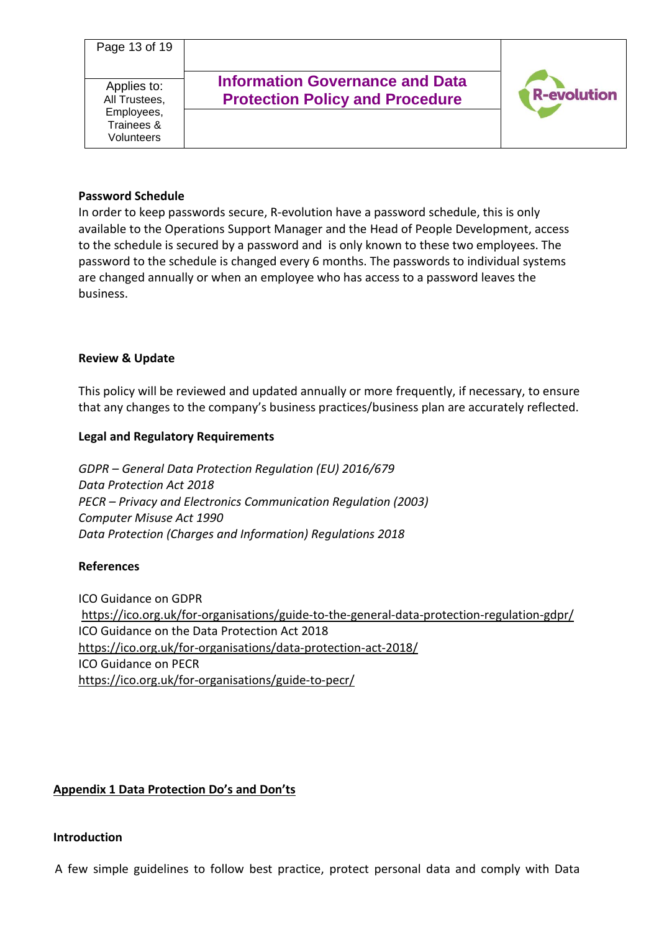#### **Password Schedule**

In order to keep passwords secure, R-evolution have a password schedule, this is only available to the Operations Support Manager and the Head of People Development, access to the schedule is secured by a password and is only known to these two employees. The password to the schedule is changed every 6 months. The passwords to individual systems are changed annually or when an employee who has access to a password leaves the business.

#### **Review & Update**

This policy will be reviewed and updated annually or more frequently, if necessary, to ensure that any changes to the company's business practices/business plan are accurately reflected.

#### **Legal and Regulatory Requirements**

*GDPR – General Data Protection Regulation (EU) 2016/679 Data Protection Act 2018 PECR – Privacy and Electronics Communication Regulation (2003) Computer Misuse Act 1990 Data Protection (Charges and Information) Regulations 2018*

#### **References**

ICO Guidance on GDPR <https://ico.org.uk/for-organisations/guide-to-the-general-data-protection-regulation-gdpr/> ICO Guidance on the Data Protection Act 2018 <https://ico.org.uk/for-organisations/data-protection-act-2018/> ICO Guidance on PECR <https://ico.org.uk/for-organisations/guide-to-pecr/>

## **Appendix 1 Data Protection Do's and Don'ts**

#### **Introduction**

A few simple guidelines to follow best practice, protect personal data and comply with Data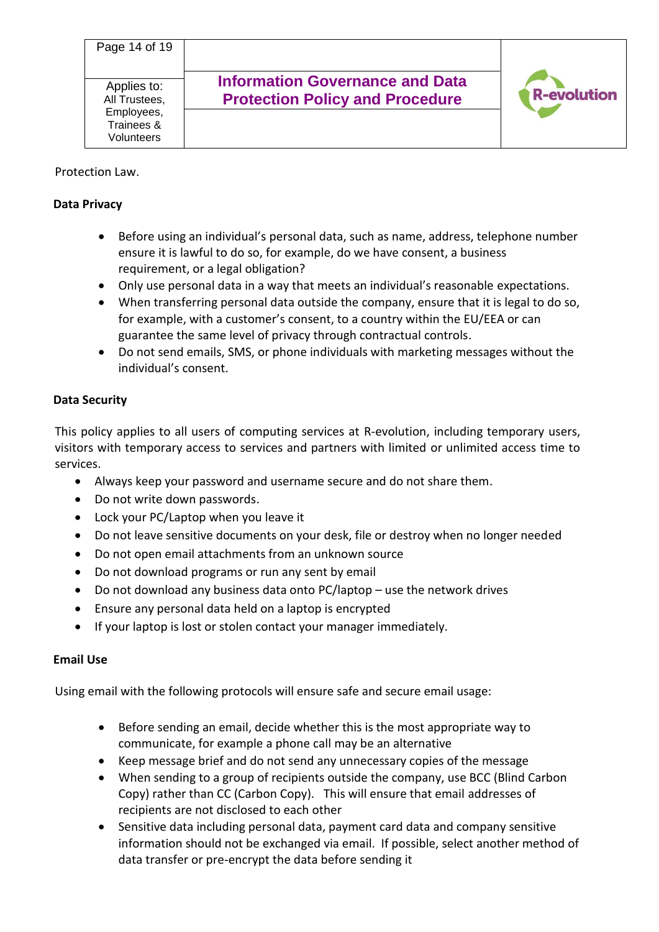#### Protection Law.

#### **Data Privacy**

- Before using an individual's personal data, such as name, address, telephone number ensure it is lawful to do so, for example, do we have consent, a business requirement, or a legal obligation?
- Only use personal data in a way that meets an individual's reasonable expectations.
- When transferring personal data outside the company, ensure that it is legal to do so, for example, with a customer's consent, to a country within the EU/EEA or can guarantee the same level of privacy through contractual controls.
- Do not send emails, SMS, or phone individuals with marketing messages without the individual's consent.

## **Data Security**

This policy applies to all users of computing services at R-evolution, including temporary users, visitors with temporary access to services and partners with limited or unlimited access time to services.

- Always keep your password and username secure and do not share them.
- Do not write down passwords.
- Lock your PC/Laptop when you leave it
- Do not leave sensitive documents on your desk, file or destroy when no longer needed
- Do not open email attachments from an unknown source
- Do not download programs or run any sent by email
- Do not download any business data onto PC/laptop use the network drives
- Ensure any personal data held on a laptop is encrypted
- If your laptop is lost or stolen contact your manager immediately.

## **Email Use**

Using email with the following protocols will ensure safe and secure email usage:

- Before sending an email, decide whether this is the most appropriate way to communicate, for example a phone call may be an alternative
- Keep message brief and do not send any unnecessary copies of the message
- When sending to a group of recipients outside the company, use BCC (Blind Carbon Copy) rather than CC (Carbon Copy). This will ensure that email addresses of recipients are not disclosed to each other
- Sensitive data including personal data, payment card data and company sensitive information should not be exchanged via email. If possible, select another method of data transfer or pre-encrypt the data before sending it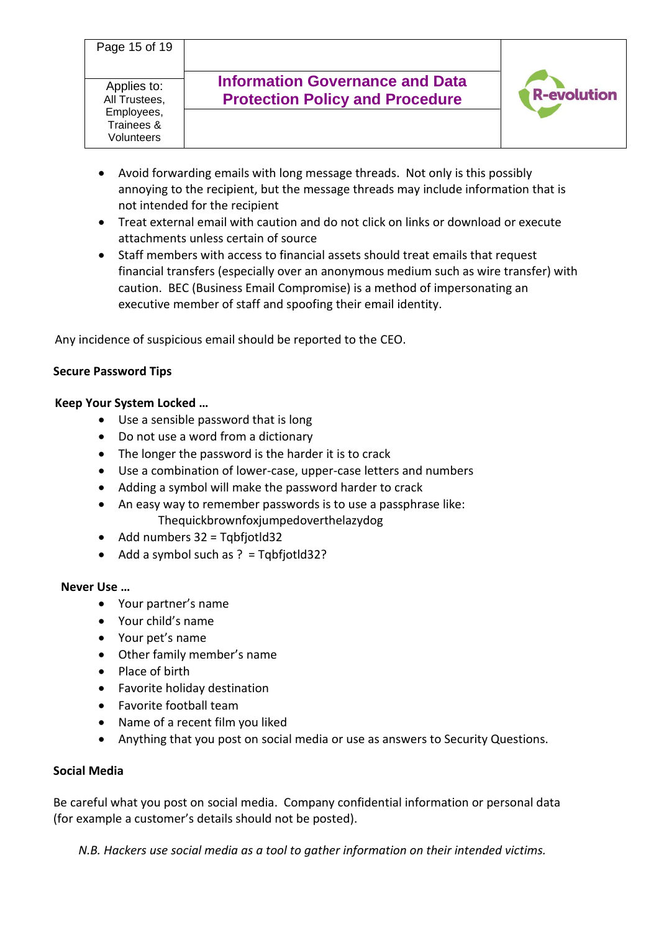- Avoid forwarding emails with long message threads. Not only is this possibly annoying to the recipient, but the message threads may include information that is not intended for the recipient
- Treat external email with caution and do not click on links or download or execute attachments unless certain of source
- Staff members with access to financial assets should treat emails that request financial transfers (especially over an anonymous medium such as wire transfer) with caution. BEC (Business Email Compromise) is a method of impersonating an executive member of staff and spoofing their email identity.

Any incidence of suspicious email should be reported to the CEO.

## **Secure Password Tips**

## **Keep Your System Locked …**

- Use a sensible password that is long
- Do not use a word from a dictionary
- The longer the password is the harder it is to crack
- Use a combination of lower-case, upper-case letters and numbers
- Adding a symbol will make the password harder to crack
- An easy way to remember passwords is to use a passphrase like: Thequickbrownfoxjumpedoverthelazydog
- Add numbers 32 = Tqbfjotld32
- Add a symbol such as ? = Tqbfjotld32?

## **Never Use …**

- Your partner's name
- Your child's name
- Your pet's name
- Other family member's name
- Place of birth
- Favorite holiday destination
- Favorite football team
- Name of a recent film you liked
- Anything that you post on social media or use as answers to Security Questions.

## **Social Media**

Be careful what you post on social media. Company confidential information or personal data (for example a customer's details should not be posted).

*N.B. Hackers use social media as a tool to gather information on their intended victims.*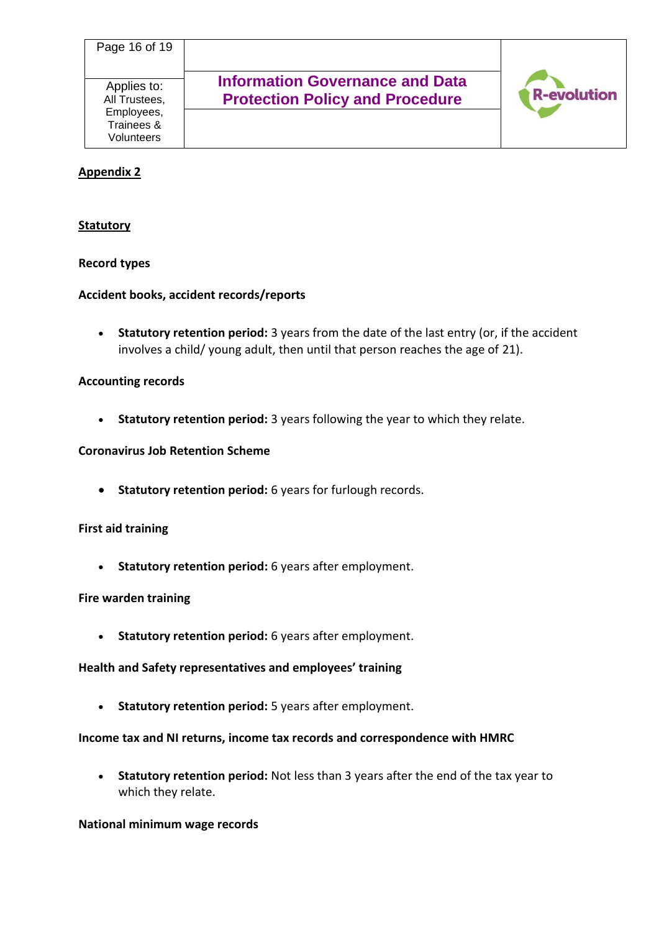## **Appendix 2**

#### **Statutory**

#### **Record types**

#### **Accident books, accident records/reports**

• **Statutory retention period:** 3 years from the date of the last entry (or, if the accident involves a child/ young adult, then until that person reaches the age of 21).

#### **Accounting records**

• **Statutory retention period:** 3 years following the year to which they relate.

#### **Coronavirus Job Retention Scheme**

• **Statutory retention period:** 6 years for furlough records.

#### **First aid training**

• **Statutory retention period:** 6 years after employment.

#### **Fire warden training**

• **Statutory retention period:** 6 years after employment.

#### **Health and Safety representatives and employees' training**

• **Statutory retention period:** 5 years after employment.

#### **Income tax and NI returns, income tax records and correspondence with HMRC**

• **Statutory retention period:** Not less than 3 years after the end of the tax year to which they relate.

#### **National minimum wage records**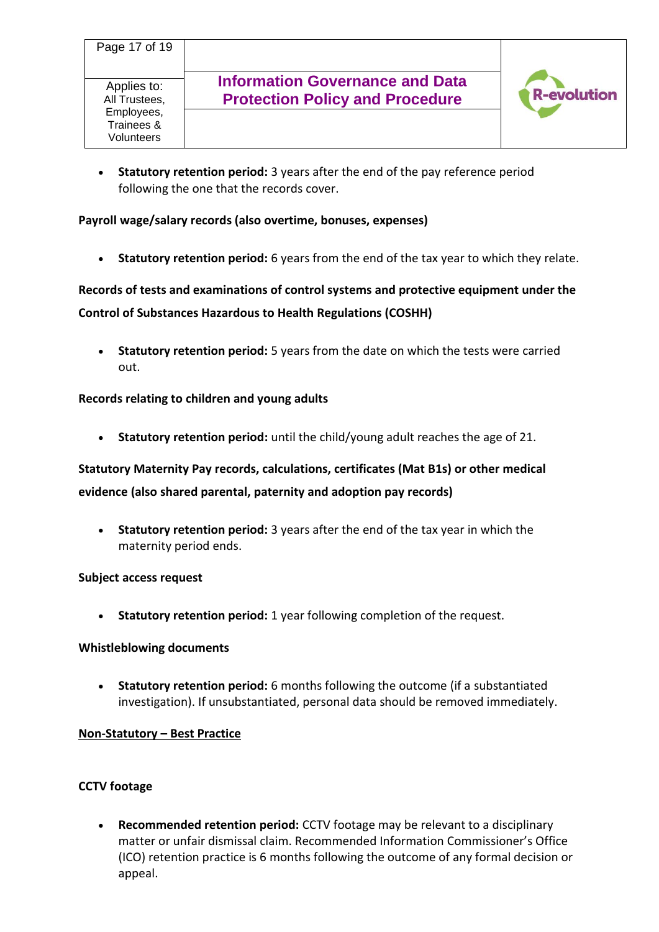

• **Statutory retention period:** 3 years after the end of the pay reference period following the one that the records cover.

## **Payroll wage/salary records (also overtime, bonuses, expenses)**

• **Statutory retention period:** 6 years from the end of the tax year to which they relate.

**Records of tests and examinations of control systems and protective equipment under the Control of Substances Hazardous to Health Regulations (COSHH)**

• **Statutory retention period:** 5 years from the date on which the tests were carried out.

## **Records relating to children and young adults**

• **Statutory retention period:** until the child/young adult reaches the age of 21.

# **Statutory Maternity Pay records, calculations, certificates (Mat B1s) or other medical evidence (also shared parental, paternity and adoption pay records)**

• **Statutory retention period:** 3 years after the end of the tax year in which the maternity period ends.

## **Subject access request**

• **Statutory retention period:** 1 year following completion of the request.

#### **Whistleblowing documents**

• **Statutory retention period:** 6 months following the outcome (if a substantiated investigation). If unsubstantiated, personal data should be removed immediately.

## **Non-Statutory – Best Practice**

## **CCTV footage**

• **Recommended retention period:** CCTV footage may be relevant to a disciplinary matter or unfair dismissal claim. Recommended Information Commissioner's Office (ICO) retention practice is 6 months following the outcome of any formal decision or appeal.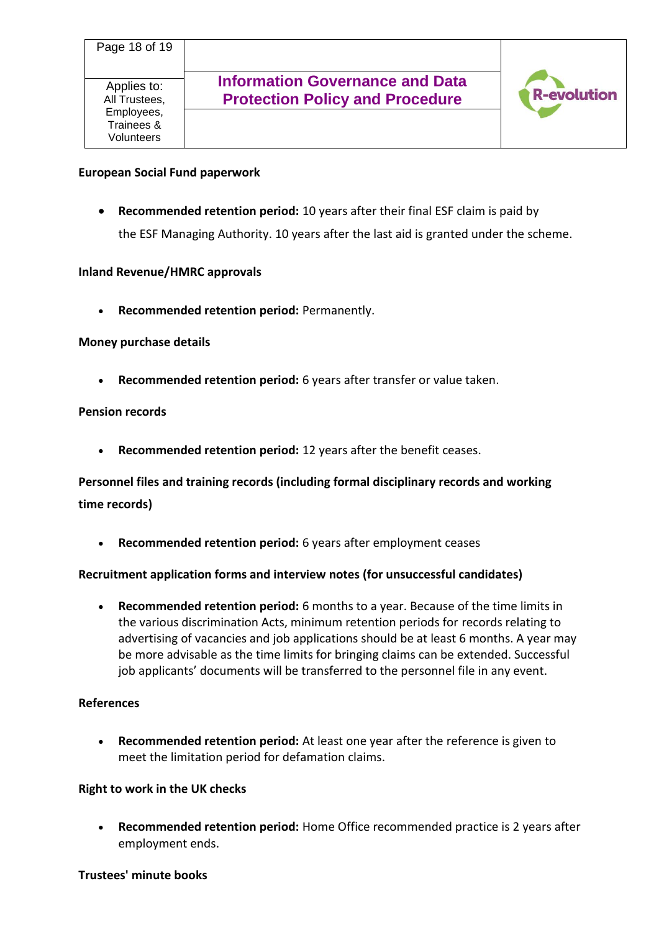

#### **European Social Fund paperwork**

• **Recommended retention period:** 10 years after their final ESF claim is paid by the ESF Managing Authority. 10 years after the last aid is granted under the scheme.

#### **Inland Revenue/HMRC approvals**

• **Recommended retention period:** Permanently.

#### **Money purchase details**

• **Recommended retention period:** 6 years after transfer or value taken.

#### **Pension records**

• **Recommended retention period:** 12 years after the benefit ceases.

# **Personnel files and training records (including formal disciplinary records and working time records)**

• **Recommended retention period:** 6 years after employment ceases

#### **Recruitment application forms and interview notes (for unsuccessful candidates)**

• **Recommended retention period:** 6 months to a year. Because of the time limits in the various discrimination Acts, minimum retention periods for records relating to advertising of vacancies and job applications should be at least 6 months. A year may be more advisable as the time limits for bringing claims can be extended. Successful job applicants' documents will be transferred to the personnel file in any event.

#### **References**

• **Recommended retention period:** At least one year after the reference is given to meet the limitation period for defamation claims.

#### **Right to work in the UK checks**

• **Recommended retention period:** Home Office recommended practice is 2 years after employment ends.

#### **Trustees' minute books**